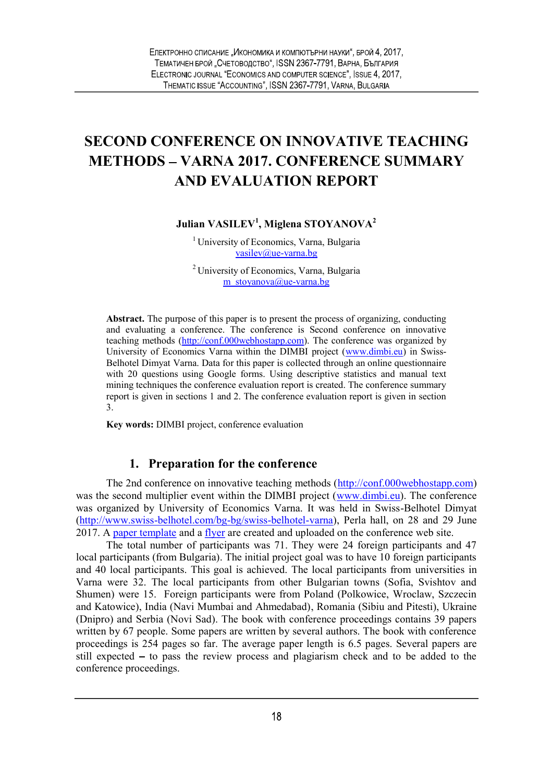# SECOND CONFERENCE ON INNOVATIVE TEACHING METHODS – VARNA 2017. CONFERENCE SUMMARY AND EVALUATION REPORT

Julian VASILEV<sup>1</sup>, Miglena STOYANOVA<sup>2</sup>

<sup>1</sup> University of Economics, Varna, Bulgaria vasilev@ue-varna.bg

2 University of Economics, Varna, Bulgaria m\_stovanova@ue-varna.bg

Abstract. The purpose of this paper is to present the process of organizing, conducting and evaluating a conference. The conference is Second conference on innovative teaching methods (http://conf.000webhostapp.com). The conference was organized by University of Economics Varna within the DIMBI project (www.dimbi.eu) in Swiss-Belhotel Dimyat Varna. Data for this paper is collected through an online questionnaire with 20 questions using Google forms. Using descriptive statistics and manual text mining techniques the conference evaluation report is created. The conference summary report is given in sections 1 and 2. The conference evaluation report is given in section 3.

Key words: DIMBI project, conference evaluation

## 1. Preparation for the conference

The 2nd conference on innovative teaching methods (http://conf.000webhostapp.com) was the second multiplier event within the DIMBI project (www.dimbi.eu). The conference was organized by University of Economics Varna. It was held in Swiss-Belhotel Dimyat (http://www.swiss-belhotel.com/bg-bg/swiss-belhotel-varna), Perla hall, on 28 and 29 June 2017. A paper template and a flyer are created and uploaded on the conference web site.

The total number of participants was 71. They were 24 foreign participants and 47 local participants (from Bulgaria). The initial project goal was to have 10 foreign participants and 40 local participants. This goal is achieved. The local participants from universities in Varna were 32. The local participants from other Bulgarian towns (Sofia, Svishtov and Shumen) were 15. Foreign participants were from Poland (Polkowice, Wroclaw, Szczecin and Katowice), India (Navi Mumbai and Ahmedabad), Romania (Sibiu and Pitesti), Ukraine (Dnipro) and Serbia (Novi Sad). The book with conference proceedings contains 39 papers written by 67 people. Some papers are written by several authors. The book with conference proceedings is 254 pages so far. The average paper length is 6.5 pages. Several papers are still expected  $-$  to pass the review process and plagiarism check and to be added to the conference proceedings.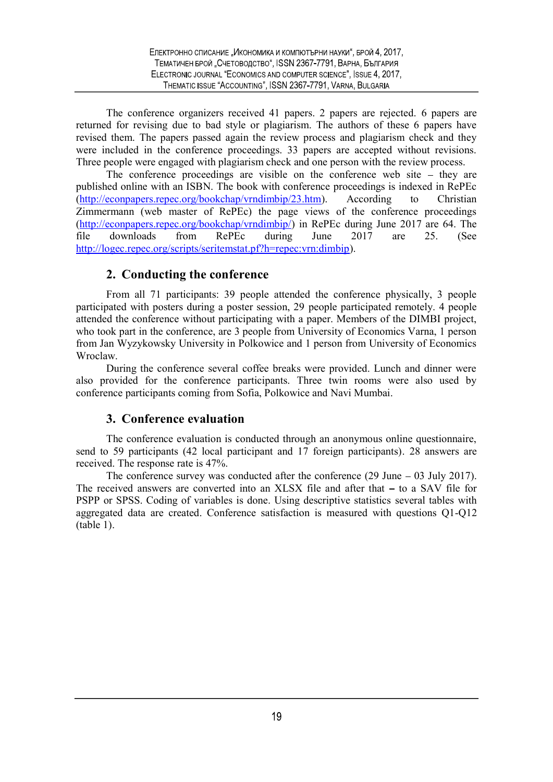The conference organizers received 41 papers. 2 papers are rejected. 6 papers are returned for revising due to bad style or plagiarism. The authors of these 6 papers have revised them. The papers passed again the review process and plagiarism check and they were included in the conference proceedings. 33 papers are accepted without revisions. Three people were engaged with plagiarism check and one person with the review process.

The conference proceedings are visible on the conference web site  $-$  they are published online with an ISBN. The book with conference proceedings is indexed in RePEc (http://econpapers.repec.org/bookchap/vrndimbip/23.htm). According to Christian Zimmermann (web master of RePEc) the page views of the conference proceedings (http://econpapers.repec.org/bookchap/vrndimbip/) in RePEc during June 2017 are 64. The file downloads from RePEc during June 2017 are 25. (See http://logec.repec.org/scripts/seritemstat.pf?h=repec:vrn:dimbip).

## 2. Conducting the conference

From all 71 participants: 39 people attended the conference physically, 3 people participated with posters during a poster session, 29 people participated remotely. 4 people attended the conference without participating with a paper. Members of the DIMBI project, who took part in the conference, are 3 people from University of Economics Varna, 1 person from Jan Wyzykowsky University in Polkowice and 1 person from University of Economics Wroclaw.

During the conference several coffee breaks were provided. Lunch and dinner were also provided for the conference participants. Three twin rooms were also used by conference participants coming from Sofia, Polkowice and Navi Mumbai.

## 3. Conference evaluation

The conference evaluation is conducted through an anonymous online questionnaire, send to 59 participants (42 local participant and 17 foreign participants). 28 answers are received. The response rate is 47%.

The conference survey was conducted after the conference  $(29 \text{ June} - 03 \text{ July } 2017)$ . The received answers are converted into an  $XLSX$  file and after that  $-$  to a SAV file for PSPP or SPSS. Coding of variables is done. Using descriptive statistics several tables with aggregated data are created. Conference satisfaction is measured with questions Q1-Q12  $(table 1)$ .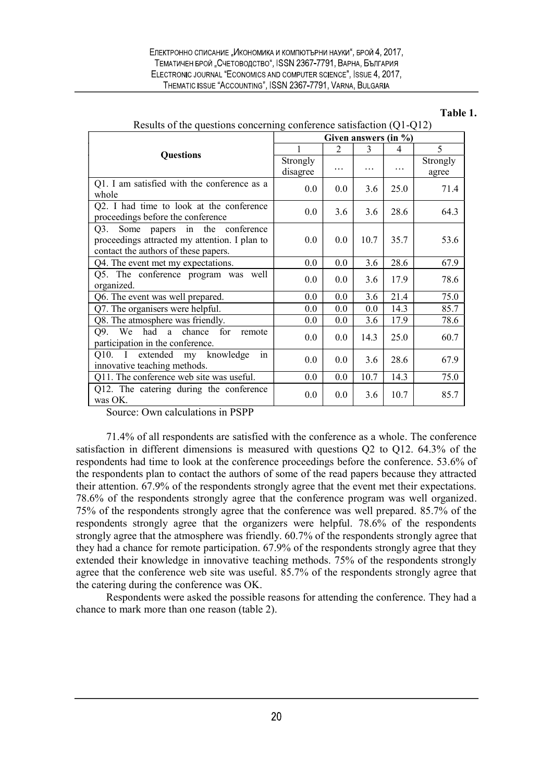#### Table 1.

|                                                                                                                               | Given answers (in %) |          |         |      |                   |
|-------------------------------------------------------------------------------------------------------------------------------|----------------------|----------|---------|------|-------------------|
| <b>Questions</b>                                                                                                              |                      | 2        | 3       | 4    | 5                 |
|                                                                                                                               | Strongly<br>disagree | $\cdots$ | .       | .    | Strongly<br>agree |
| Q1. I am satisfied with the conference as a<br>whole                                                                          | 0.0                  | 0.0      | 3.6     | 25.0 | 71.4              |
| Q2. I had time to look at the conference<br>proceedings before the conference                                                 | 0.0                  | 3.6      | 3.6     | 28.6 | 64.3              |
| Some papers in the conference<br>Q3.<br>proceedings attracted my attention. I plan to<br>contact the authors of these papers. | 0.0                  | 0.0      | 10.7    | 35.7 | 53.6              |
| Q4. The event met my expectations.                                                                                            | $0.0\,$              | 0.0      | 3.6     | 28.6 | 67.9              |
| Q5. The conference program was well<br>organized.                                                                             | $0.0\,$              | 0.0      | 3.6     | 17.9 | 78.6              |
| Q6. The event was well prepared.                                                                                              | $0.0\,$              | 0.0      | 3.6     | 21.4 | 75.0              |
| Q7. The organisers were helpful.                                                                                              | $0.0\,$              | 0.0      | $0.0\,$ | 14.3 | 85.7              |
| Q8. The atmosphere was friendly.                                                                                              | $0.0\,$              | 0.0      | 3.6     | 17.9 | 78.6              |
| had a chance for<br>We<br>O9.<br>remote<br>participation in the conference.                                                   | 0.0                  | 0.0      | 14.3    | 25.0 | 60.7              |
| Q10. I extended my knowledge<br>in<br>innovative teaching methods.                                                            | $0.0\,$              | 0.0      | 3.6     | 28.6 | 67.9              |
| Q11. The conference web site was useful.                                                                                      | $0.0\,$              | 0.0      | 10.7    | 14.3 | 75.0              |
| Q12. The catering during the conference<br>was OK.                                                                            | $0.0\,$              | 0.0      | 3.6     | 10.7 | 85.7              |

| Results of the questions concerning conference satisfaction $(Q1-Q12)$ |  |  |  |  |  |
|------------------------------------------------------------------------|--|--|--|--|--|
|------------------------------------------------------------------------|--|--|--|--|--|

Source: Own calculations in PSPP

71.4% of all respondents are satisfied with the conference as a whole. The conference satisfaction in different dimensions is measured with questions Q2 to Q12. 64.3% of the respondents had time to look at the conference proceedings before the conference. 53.6% of the respondents plan to contact the authors of some of the read papers because they attracted their attention. 67.9% of the respondents strongly agree that the event met their expectations. 78.6% of the respondents strongly agree that the conference program was well organized. 75% of the respondents strongly agree that the conference was well prepared. 85.7% of the respondents strongly agree that the organizers were helpful. 78.6% of the respondents strongly agree that the atmosphere was friendly. 60.7% of the respondents strongly agree that they had a chance for remote participation. 67.9% of the respondents strongly agree that they extended their knowledge in innovative teaching methods. 75% of the respondents strongly agree that the conference web site was useful. 85.7% of the respondents strongly agree that the catering during the conference was OK.

Respondents were asked the possible reasons for attending the conference. They had a chance to mark more than one reason (table 2).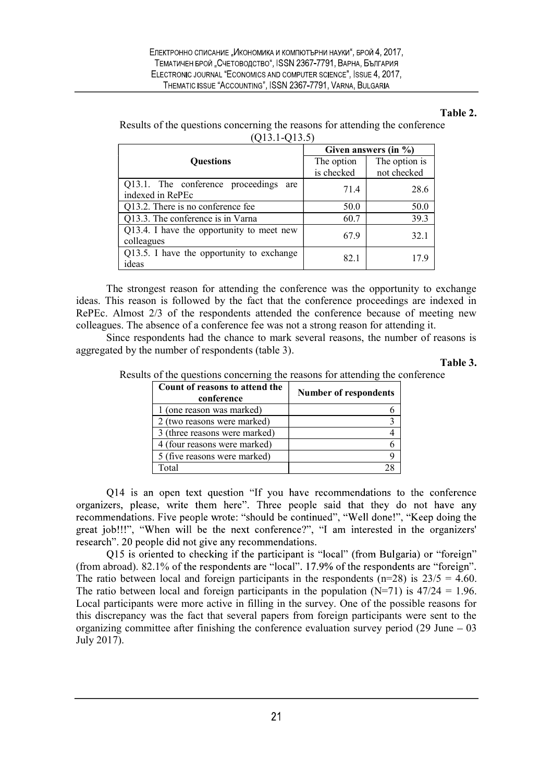#### Table 2.

| Results of the questions concerning the reasons for attending the conference |  |
|------------------------------------------------------------------------------|--|
| $(Q13.1-Q13.5)$                                                              |  |

|                                           | Given answers (in %) |               |  |
|-------------------------------------------|----------------------|---------------|--|
| <b>Questions</b>                          | The option           | The option is |  |
|                                           | is checked           | not checked   |  |
| Q13.1. The conference proceedings are     | 71.4                 | 28.6          |  |
| indexed in RePEc                          |                      |               |  |
| Q13.2. There is no conference fee         | 50.0                 | 50.0          |  |
| Q13.3. The conference is in Varna         | 60.7                 | 39.3          |  |
| Q13.4. I have the opportunity to meet new | 67.9                 | 32.1          |  |
| colleagues                                |                      |               |  |
| Q13.5. I have the opportunity to exchange | 82.1                 | 17.9          |  |
| ideas                                     |                      |               |  |

The strongest reason for attending the conference was the opportunity to exchange ideas. This reason is followed by the fact that the conference proceedings are indexed in RePEc. Almost 2/3 of the respondents attended the conference because of meeting new colleagues. The absence of a conference fee was not a strong reason for attending it.

Since respondents had the chance to mark several reasons, the number of reasons is aggregated by the number of respondents (table 3).

Table 3.

Results of the questions concerning the reasons for attending the conference

| Count of reasons to attend the<br>conference | <b>Number of respondents</b> |
|----------------------------------------------|------------------------------|
| 1 (one reason was marked)                    |                              |
| 2 (two reasons were marked)                  |                              |
| 3 (three reasons were marked)                |                              |
| 4 (four reasons were marked)                 |                              |
| 5 (five reasons were marked)                 |                              |
| Total                                        | 28                           |

Q14 is an open text question "If you have recommendations to the conference organizers, please, write them here". Three people said that they do not have any recommendations. Five people wrote: "should be continued", "Well done!", "Keep doing the great job!!!", "When will be the next conference?", "I am interested in the organizers' research". 20 people did not give any recommendations.

O15 is oriented to checking if the participant is "local" (from Bulgaria) or "foreign" (from abroad). 82.1% of the respondents are "local". 17.9% of the respondents are "foreign". The ratio between local and foreign participants in the respondents ( $n=28$ ) is  $23/5 = 4.60$ . The ratio between local and foreign participants in the population  $(N=71)$  is  $47/24 = 1.96$ . Local participants were more active in filling in the survey. One of the possible reasons for this discrepancy was the fact that several papers from foreign participants were sent to the organizing committee after finishing the conference evaluation survey period  $(29 \text{ June} - 03)$ July 2017).